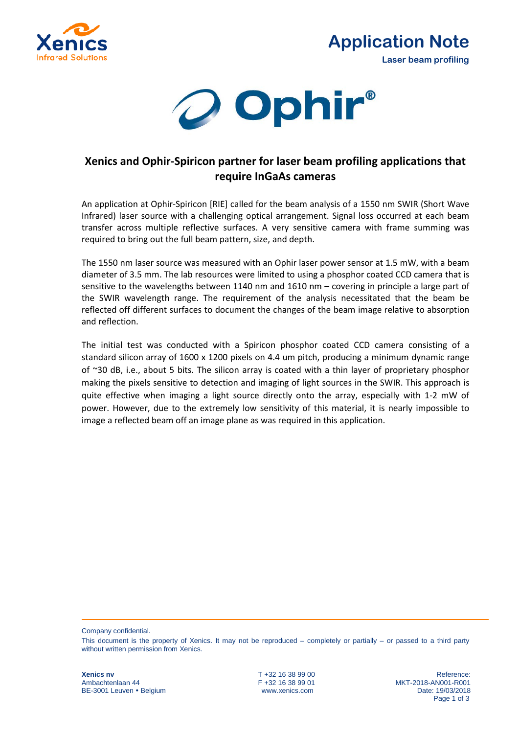

### **Application Note Laser beam profiling**



#### **Xenics and Ophir-Spiricon partner for laser beam profiling applications that require InGaAs cameras**

An application at Ophir-Spiricon [RIE] called for the beam analysis of a 1550 nm SWIR (Short Wave Infrared) laser source with a challenging optical arrangement. Signal loss occurred at each beam transfer across multiple reflective surfaces. A very sensitive camera with frame summing was required to bring out the full beam pattern, size, and depth.

The 1550 nm laser source was measured with an Ophir laser power sensor at 1.5 mW, with a beam diameter of 3.5 mm. The lab resources were limited to using a phosphor coated CCD camera that is sensitive to the wavelengths between 1140 nm and 1610 nm – covering in principle a large part of the SWIR wavelength range. The requirement of the analysis necessitated that the beam be reflected off different surfaces to document the changes of the beam image relative to absorption and reflection.

The initial test was conducted with a Spiricon phosphor coated CCD camera consisting of a standard silicon array of 1600 x 1200 pixels on 4.4 um pitch, producing a minimum dynamic range of ~30 dB, i.e., about 5 bits. The silicon array is coated with a thin layer of proprietary phosphor making the pixels sensitive to detection and imaging of light sources in the SWIR. This approach is quite effective when imaging a light source directly onto the array, especially with 1-2 mW of power. However, due to the extremely low sensitivity of this material, it is nearly impossible to image a reflected beam off an image plane as was required in this application.

Company confidential.

**Xenics nv** Reference:<br>
Ambachtenlaan 44 **T** +32 16 38 99 00 **Reference:**<br>
F +32 16 38 99 01 **MKT-2018-AN001-R001** BE-3001 Leuven • Belgium vww.xenics.com

MKT-2018-AN001-R001<br>Date: 19/03/2018 Page 1 of 3

This document is the property of Xenics. It may not be reproduced – completely or partially – or passed to a third party without written permission from Xenics.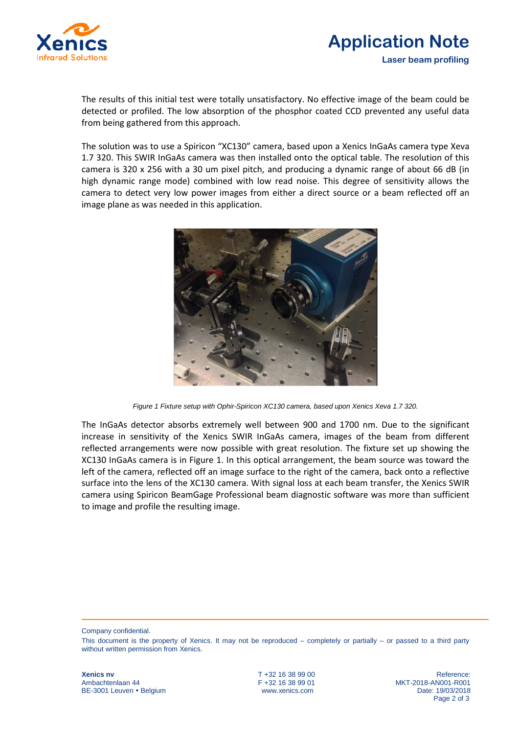

## **Application Note Laser beam profiling**

The results of this initial test were totally unsatisfactory. No effective image of the beam could be detected or profiled. The low absorption of the phosphor coated CCD prevented any useful data from being gathered from this approach.

The solution was to use a Spiricon "XC130" camera, based upon a Xenics InGaAs camera type Xeva 1.7 320. This SWIR InGaAs camera was then installed onto the optical table. The resolution of this camera is 320 x 256 with a 30 um pixel pitch, and producing a dynamic range of about 66 dB (in high dynamic range mode) combined with low read noise. This degree of sensitivity allows the camera to detect very low power images from either a direct source or a beam reflected off an image plane as was needed in this application.



*Figure 1 Fixture setup with Ophir-Spiricon XC130 camera, based upon Xenics Xeva 1.7 320.*

The InGaAs detector absorbs extremely well between 900 and 1700 nm. Due to the significant increase in sensitivity of the Xenics SWIR InGaAs camera, images of the beam from different reflected arrangements were now possible with great resolution. The fixture set up showing the XC130 InGaAs camera is in Figure 1. In this optical arrangement, the beam source was toward the left of the camera, reflected off an image surface to the right of the camera, back onto a reflective surface into the lens of the XC130 camera. With signal loss at each beam transfer, the Xenics SWIR camera using Spiricon BeamGage Professional beam diagnostic software was more than sufficient to image and profile the resulting image.

Company confidential.

**Xenics nv** Reference:<br>
Ambachtenlaan 44 **T** +32 16 38 99 00 **Reference:**<br>
F +32 16 38 99 01 **MKT-2018-AN001-R001** BE-3001 Leuven • Belgium vww.xenics.com

MKT-2018-AN001-R001<br>Date: 19/03/2018 Page 2 of 3

This document is the property of Xenics. It may not be reproduced – completely or partially – or passed to a third party without written permission from Xenics.